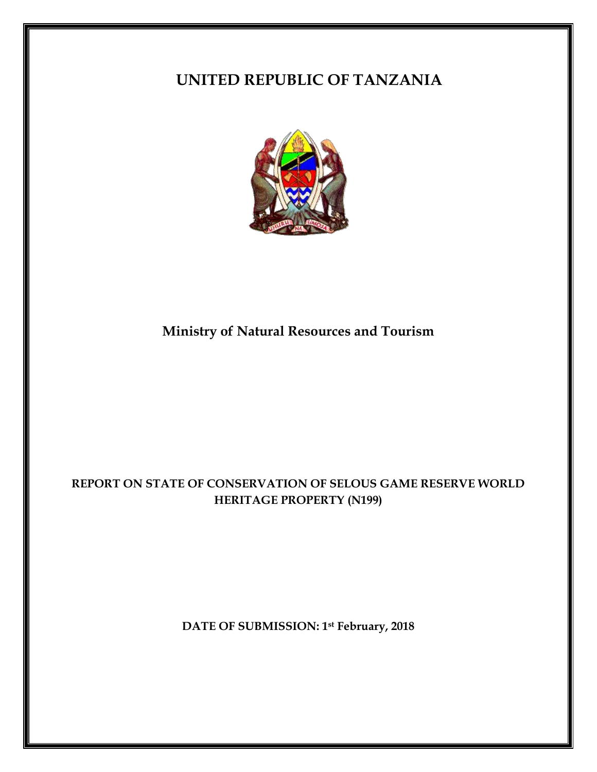# **UNITED REPUBLIC OF TANZANIA**



# **Ministry of Natural Resources and Tourism**

# **REPORT ON STATE OF CONSERVATION OF SELOUS GAME RESERVE WORLD HERITAGE PROPERTY (N199)**

**DATE OF SUBMISSION: 1st February, 2018**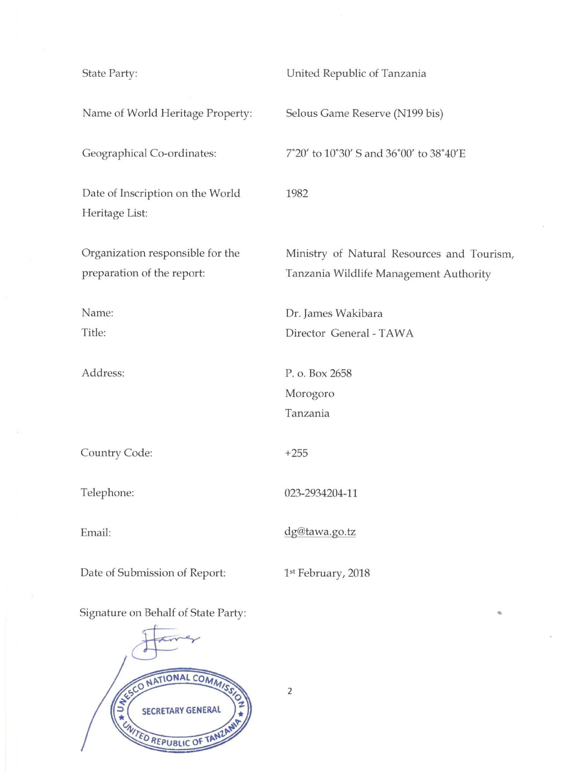**State Party:** United Republic of Tanzania Name of World Heritage Property: Selous Game Reserve (N199 bis) Geographical Co-ordinates: 7°20' to 10°30' S and 36°00' to 38°40'E Date of Inscription on the World 1982 Heritage List: Organization responsible for the Ministry of Natural Resources and Tourism, preparation of the report: Tanzania Wildlife Management Authority Name: Dr. James Wakibara Title: Director General - TAWA Address: P. o. Box 2658 Morogoro Tanzania Country Code:  $+255$ Telephone: 023-2934204-11 dg@tawa.go.tz Email: Date of Submission of Report: 1st February, 2018 Signature on Behalf of State Party:



 $\overline{2}$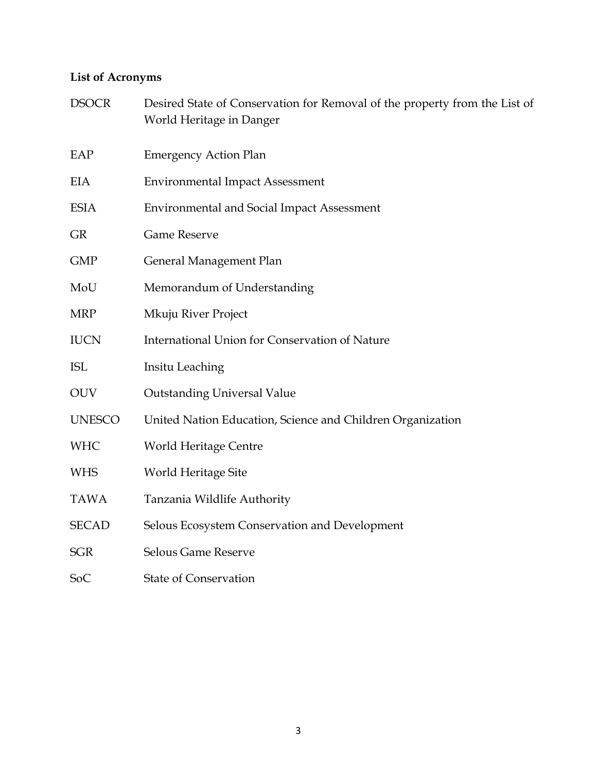# **List of Acronyms**

| <b>DSOCR</b>  | Desired State of Conservation for Removal of the property from the List of<br>World Heritage in Danger |
|---------------|--------------------------------------------------------------------------------------------------------|
| EAP           | <b>Emergency Action Plan</b>                                                                           |
| EIA           | <b>Environmental Impact Assessment</b>                                                                 |
| <b>ESIA</b>   | <b>Environmental and Social Impact Assessment</b>                                                      |
| <b>GR</b>     | <b>Game Reserve</b>                                                                                    |
| <b>GMP</b>    | General Management Plan                                                                                |
| MoU           | Memorandum of Understanding                                                                            |
| <b>MRP</b>    | Mkuju River Project                                                                                    |
| <b>IUCN</b>   | <b>International Union for Conservation of Nature</b>                                                  |
| <b>ISL</b>    | Insitu Leaching                                                                                        |
| <b>OUV</b>    | <b>Outstanding Universal Value</b>                                                                     |
| <b>UNESCO</b> | United Nation Education, Science and Children Organization                                             |
| <b>WHC</b>    | <b>World Heritage Centre</b>                                                                           |
| <b>WHS</b>    | World Heritage Site                                                                                    |
| <b>TAWA</b>   | Tanzania Wildlife Authority                                                                            |
| <b>SECAD</b>  | Selous Ecosystem Conservation and Development                                                          |
| <b>SGR</b>    | Selous Game Reserve                                                                                    |
| SoC           | <b>State of Conservation</b>                                                                           |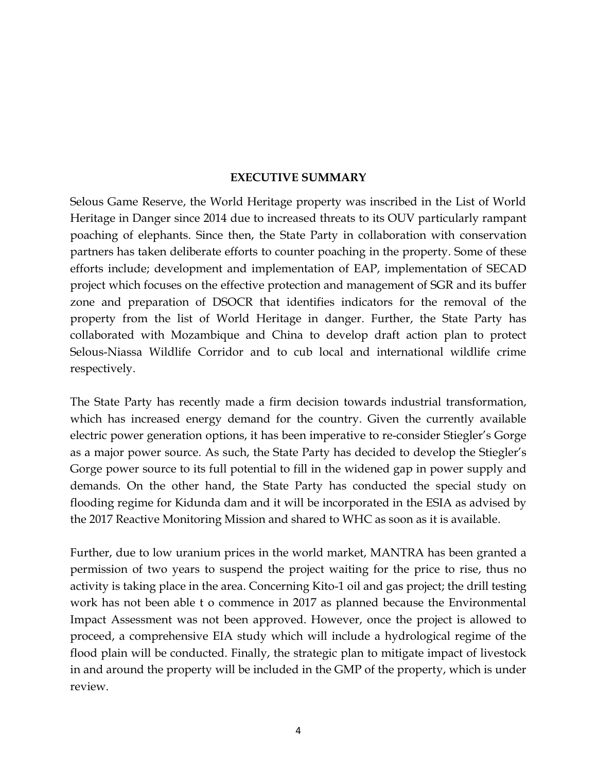#### **EXECUTIVE SUMMARY**

Selous Game Reserve, the World Heritage property was inscribed in the List of World Heritage in Danger since 2014 due to increased threats to its OUV particularly rampant poaching of elephants. Since then, the State Party in collaboration with conservation partners has taken deliberate efforts to counter poaching in the property. Some of these efforts include; development and implementation of EAP, implementation of SECAD project which focuses on the effective protection and management of SGR and its buffer zone and preparation of DSOCR that identifies indicators for the removal of the property from the list of World Heritage in danger. Further, the State Party has collaborated with Mozambique and China to develop draft action plan to protect Selous-Niassa Wildlife Corridor and to cub local and international wildlife crime respectively.

The State Party has recently made a firm decision towards industrial transformation, which has increased energy demand for the country. Given the currently available electric power generation options, it has been imperative to re-consider Stiegler's Gorge as a major power source. As such, the State Party has decided to develop the Stiegler's Gorge power source to its full potential to fill in the widened gap in power supply and demands. On the other hand, the State Party has conducted the special study on flooding regime for Kidunda dam and it will be incorporated in the ESIA as advised by the 2017 Reactive Monitoring Mission and shared to WHC as soon as it is available.

Further, due to low uranium prices in the world market, MANTRA has been granted a permission of two years to suspend the project waiting for the price to rise, thus no activity is taking place in the area. Concerning Kito-1 oil and gas project; the drill testing work has not been able t o commence in 2017 as planned because the Environmental Impact Assessment was not been approved. However, once the project is allowed to proceed, a comprehensive EIA study which will include a hydrological regime of the flood plain will be conducted. Finally, the strategic plan to mitigate impact of livestock in and around the property will be included in the GMP of the property, which is under review.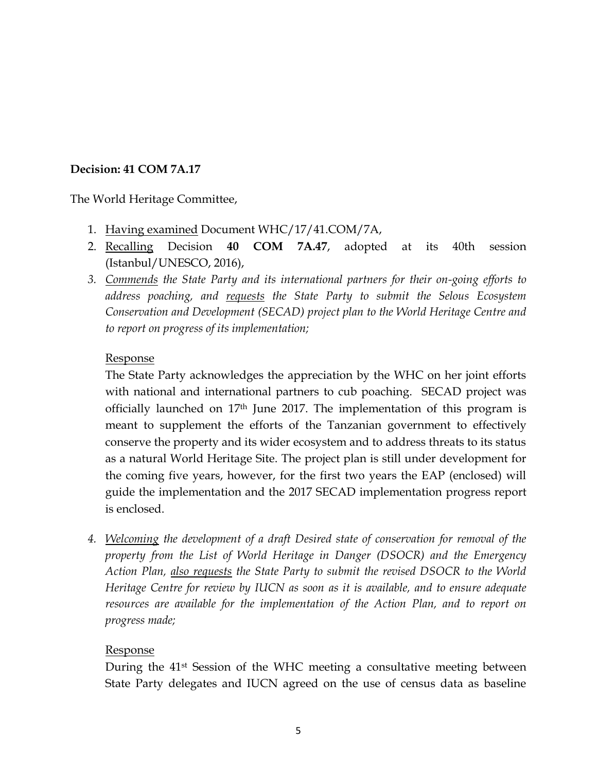## **Decision: 41 COM 7A.17**

The World Heritage Committee,

- 1. Having examined Document WHC/17/41.COM/7A,
- 2. Recalling Decision **40 COM 7A.47**, adopted at its 40th session (Istanbul/UNESCO, 2016),
- *3. Commends the State Party and its international partners for their on-going efforts to address poaching, and requests the State Party to submit the Selous Ecosystem Conservation and Development (SECAD) project plan to the World Heritage Centre and to report on progress of its implementation;*

### Response

The State Party acknowledges the appreciation by the WHC on her joint efforts with national and international partners to cub poaching. SECAD project was officially launched on  $17<sup>th</sup>$  June 2017. The implementation of this program is meant to supplement the efforts of the Tanzanian government to effectively conserve the property and its wider ecosystem and to address threats to its status as a natural World Heritage Site. The project plan is still under development for the coming five years, however, for the first two years the EAP (enclosed) will guide the implementation and the 2017 SECAD implementation progress report is enclosed.

*4. Welcoming the development of a draft Desired state of conservation for removal of the property from the List of World Heritage in Danger (DSOCR) and the Emergency Action Plan, also requests the State Party to submit the revised DSOCR to the World Heritage Centre for review by IUCN as soon as it is available, and to ensure adequate resources are available for the implementation of the Action Plan, and to report on progress made;*

### Response

During the 41st Session of the WHC meeting a consultative meeting between State Party delegates and IUCN agreed on the use of census data as baseline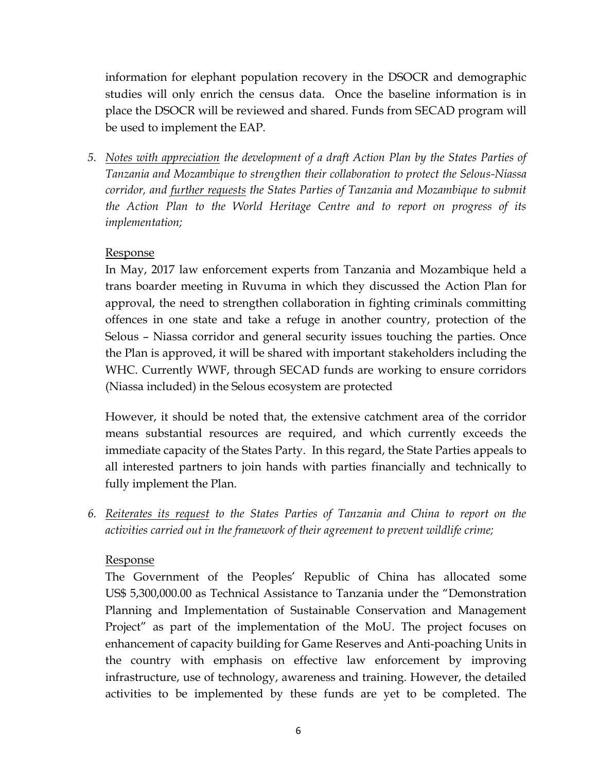information for elephant population recovery in the DSOCR and demographic studies will only enrich the census data. Once the baseline information is in place the DSOCR will be reviewed and shared. Funds from SECAD program will be used to implement the EAP.

*5. Notes with appreciation the development of a draft Action Plan by the States Parties of Tanzania and Mozambique to strengthen their collaboration to protect the Selous-Niassa corridor, and further requests the States Parties of Tanzania and Mozambique to submit the Action Plan to the World Heritage Centre and to report on progress of its implementation;* 

## Response

In May, 2017 law enforcement experts from Tanzania and Mozambique held a trans boarder meeting in Ruvuma in which they discussed the Action Plan for approval, the need to strengthen collaboration in fighting criminals committing offences in one state and take a refuge in another country, protection of the Selous – Niassa corridor and general security issues touching the parties. Once the Plan is approved, it will be shared with important stakeholders including the WHC. Currently WWF, through SECAD funds are working to ensure corridors (Niassa included) in the Selous ecosystem are protected

However, it should be noted that, the extensive catchment area of the corridor means substantial resources are required, and which currently exceeds the immediate capacity of the States Party. In this regard, the State Parties appeals to all interested partners to join hands with parties financially and technically to fully implement the Plan.

*6. Reiterates its request to the States Parties of Tanzania and China to report on the activities carried out in the framework of their agreement to prevent wildlife crime;*

### Response

The Government of the Peoples' Republic of China has allocated some US\$ 5,300,000.00 as Technical Assistance to Tanzania under the "Demonstration Planning and Implementation of Sustainable Conservation and Management Project" as part of the implementation of the MoU. The project focuses on enhancement of capacity building for Game Reserves and Anti-poaching Units in the country with emphasis on effective law enforcement by improving infrastructure, use of technology, awareness and training. However, the detailed activities to be implemented by these funds are yet to be completed. The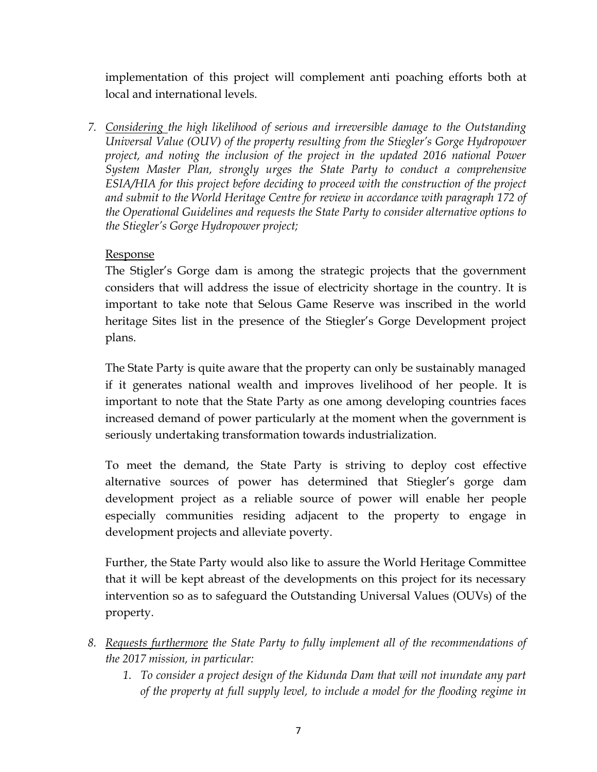implementation of this project will complement anti poaching efforts both at local and international levels.

*7. Considering the high likelihood of serious and irreversible damage to the Outstanding Universal Value (OUV) of the property resulting from the Stiegler's Gorge Hydropower project, and noting the inclusion of the project in the updated 2016 national Power System Master Plan, strongly urges the State Party to conduct a comprehensive ESIA/HIA for this project before deciding to proceed with the construction of the project and submit to the World Heritage Centre for review in accordance with paragraph 172 of the Operational Guidelines and requests the State Party to consider alternative options to the Stiegler's Gorge Hydropower project;*

## Response

The Stigler's Gorge dam is among the strategic projects that the government considers that will address the issue of electricity shortage in the country. It is important to take note that Selous Game Reserve was inscribed in the world heritage Sites list in the presence of the Stiegler's Gorge Development project plans.

The State Party is quite aware that the property can only be sustainably managed if it generates national wealth and improves livelihood of her people. It is important to note that the State Party as one among developing countries faces increased demand of power particularly at the moment when the government is seriously undertaking transformation towards industrialization.

To meet the demand, the State Party is striving to deploy cost effective alternative sources of power has determined that Stiegler's gorge dam development project as a reliable source of power will enable her people especially communities residing adjacent to the property to engage in development projects and alleviate poverty.

Further, the State Party would also like to assure the World Heritage Committee that it will be kept abreast of the developments on this project for its necessary intervention so as to safeguard the Outstanding Universal Values (OUVs) of the property.

- *8. Requests furthermore the State Party to fully implement all of the recommendations of the 2017 mission, in particular:* 
	- *1. To consider a project design of the Kidunda Dam that will not inundate any part of the property at full supply level, to include a model for the flooding regime in*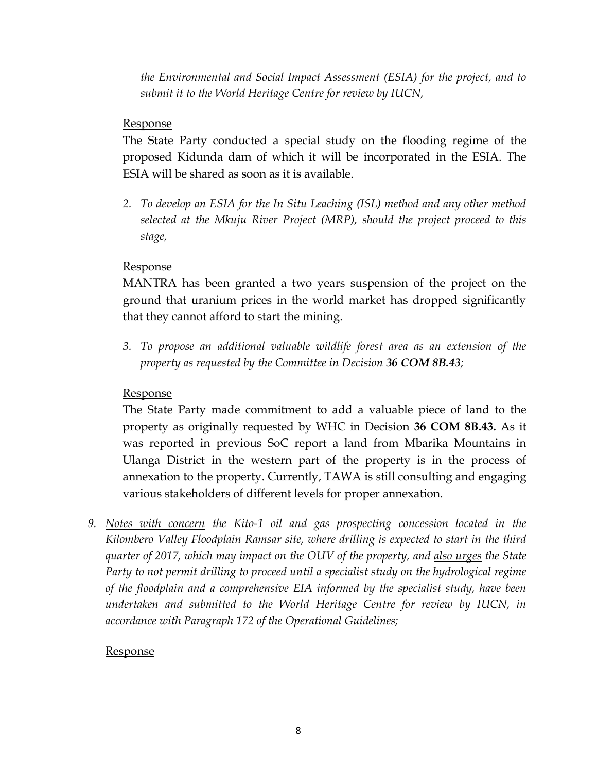*the Environmental and Social Impact Assessment (ESIA) for the project, and to submit it to the World Heritage Centre for review by IUCN,* 

## Response

The State Party conducted a special study on the flooding regime of the proposed Kidunda dam of which it will be incorporated in the ESIA. The ESIA will be shared as soon as it is available.

*2. To develop an ESIA for the In Situ Leaching (ISL) method and any other method selected at the Mkuju River Project (MRP), should the project proceed to this stage,* 

## Response

MANTRA has been granted a two years suspension of the project on the ground that uranium prices in the world market has dropped significantly that they cannot afford to start the mining.

*3. To propose an additional valuable wildlife forest area as an extension of the property as requested by the Committee in Decision 36 COM 8B.43;*

## Response

The State Party made commitment to add a valuable piece of land to the property as originally requested by WHC in Decision **36 COM 8B.43.** As it was reported in previous SoC report a land from Mbarika Mountains in Ulanga District in the western part of the property is in the process of annexation to the property. Currently, TAWA is still consulting and engaging various stakeholders of different levels for proper annexation.

*9. Notes with concern the Kito-1 oil and gas prospecting concession located in the Kilombero Valley Floodplain Ramsar site, where drilling is expected to start in the third quarter of 2017, which may impact on the OUV of the property, and also urges the State Party to not permit drilling to proceed until a specialist study on the hydrological regime of the floodplain and a comprehensive EIA informed by the specialist study, have been undertaken and submitted to the World Heritage Centre for review by IUCN, in accordance with Paragraph 172 of the Operational Guidelines;*

## Response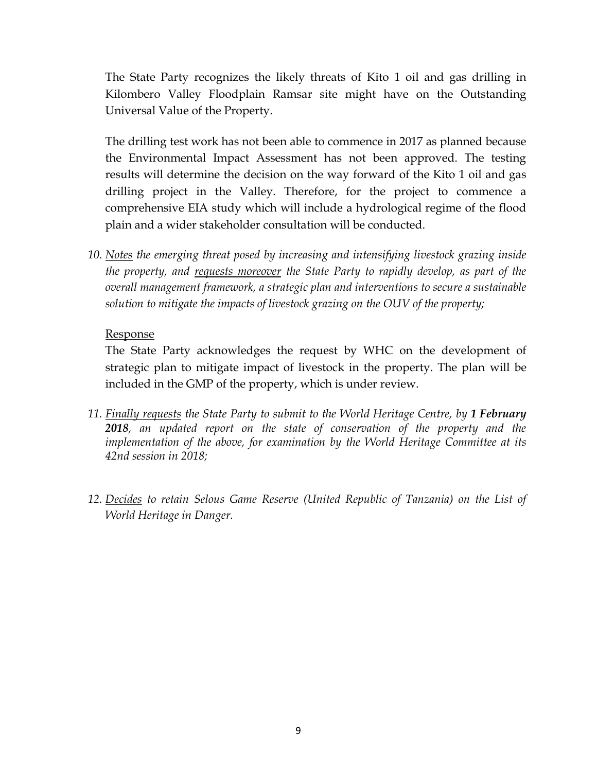The State Party recognizes the likely threats of Kito 1 oil and gas drilling in Kilombero Valley Floodplain Ramsar site might have on the Outstanding Universal Value of the Property.

The drilling test work has not been able to commence in 2017 as planned because the Environmental Impact Assessment has not been approved. The testing results will determine the decision on the way forward of the Kito 1 oil and gas drilling project in the Valley. Therefore, for the project to commence a comprehensive EIA study which will include a hydrological regime of the flood plain and a wider stakeholder consultation will be conducted.

*10. Notes the emerging threat posed by increasing and intensifying livestock grazing inside the property, and requests moreover the State Party to rapidly develop, as part of the overall management framework, a strategic plan and interventions to secure a sustainable solution to mitigate the impacts of livestock grazing on the OUV of the property;*

### Response

The State Party acknowledges the request by WHC on the development of strategic plan to mitigate impact of livestock in the property. The plan will be included in the GMP of the property, which is under review.

- *11. Finally requests the State Party to submit to the World Heritage Centre, by 1 February 2018, an updated report on the state of conservation of the property and the implementation of the above, for examination by the World Heritage Committee at its 42nd session in 2018;*
- *12. Decides to retain Selous Game Reserve (United Republic of Tanzania) on the List of World Heritage in Danger.*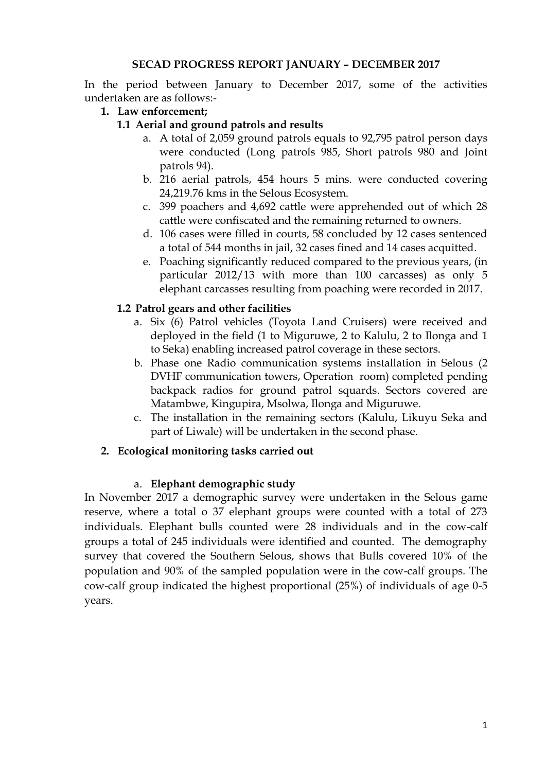### **SECAD PROGRESS REPORT JANUARY – DECEMBER 2017**

In the period between January to December 2017, some of the activities undertaken are as follows:-

**1. Law enforcement;**

## **1.1 Aerial and ground patrols and results**

- a. A total of 2,059 ground patrols equals to 92,795 patrol person days were conducted (Long patrols 985, Short patrols 980 and Joint patrols 94).
- b. 216 aerial patrols, 454 hours 5 mins. were conducted covering 24,219.76 kms in the Selous Ecosystem.
- c. 399 poachers and 4,692 cattle were apprehended out of which 28 cattle were confiscated and the remaining returned to owners.
- d. 106 cases were filled in courts, 58 concluded by 12 cases sentenced a total of 544 months in jail, 32 cases fined and 14 cases acquitted.
- e. Poaching significantly reduced compared to the previous years, (in particular 2012/13 with more than 100 carcasses) as only 5 elephant carcasses resulting from poaching were recorded in 2017.

## **1.2 Patrol gears and other facilities**

- a. Six (6) Patrol vehicles (Toyota Land Cruisers) were received and deployed in the field (1 to Miguruwe, 2 to Kalulu, 2 to Ilonga and 1 to Seka) enabling increased patrol coverage in these sectors.
- b. Phase one Radio communication systems installation in Selous (2 DVHF communication towers, Operation room) completed pending backpack radios for ground patrol squards. Sectors covered are Matambwe, Kingupira, Msolwa, Ilonga and Miguruwe.
- c. The installation in the remaining sectors (Kalulu, Likuyu Seka and part of Liwale) will be undertaken in the second phase.

### **2. Ecological monitoring tasks carried out**

### a. **Elephant demographic study**

In November 2017 a demographic survey were undertaken in the Selous game reserve, where a total o 37 elephant groups were counted with a total of 273 individuals. Elephant bulls counted were 28 individuals and in the cow-calf groups a total of 245 individuals were identified and counted. The demography survey that covered the Southern Selous, shows that Bulls covered 10% of the population and 90% of the sampled population were in the cow-calf groups. The cow-calf group indicated the highest proportional (25%) of individuals of age 0-5 years.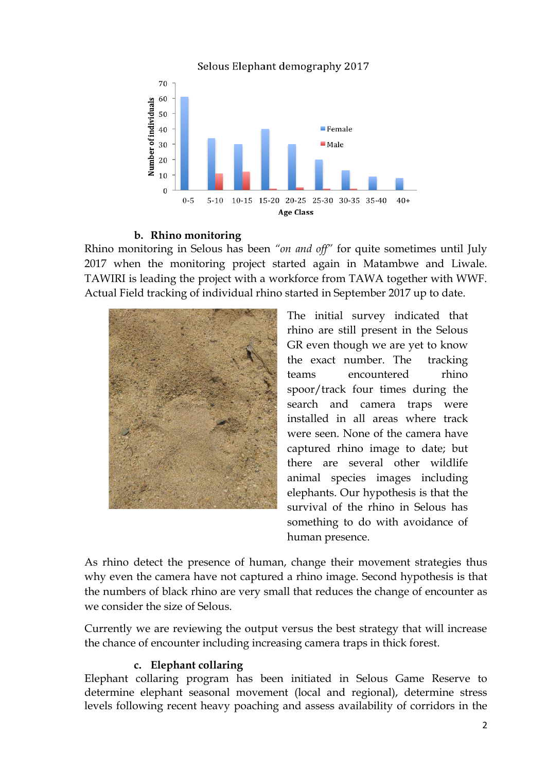Selous Elephant demography 2017



#### **b. Rhino monitoring**

Rhino monitoring in Selous has been *"on and off"* for quite sometimes until July 2017 when the monitoring project started again in Matambwe and Liwale. TAWIRI is leading the project with a workforce from TAWA together with WWF. Actual Field tracking of individual rhino started in September 2017 up to date.



The initial survey indicated that rhino are still present in the Selous GR even though we are yet to know the exact number. The tracking teams encountered rhino spoor/track four times during the search and camera traps were installed in all areas where track were seen. None of the camera have captured rhino image to date; but there are several other wildlife animal species images including elephants. Our hypothesis is that the survival of the rhino in Selous has something to do with avoidance of human presence.

As rhino detect the presence of human, change their movement strategies thus why even the camera have not captured a rhino image. Second hypothesis is that the numbers of black rhino are very small that reduces the change of encounter as we consider the size of Selous.

Currently we are reviewing the output versus the best strategy that will increase the chance of encounter including increasing camera traps in thick forest.

### **c. Elephant collaring**

Elephant collaring program has been initiated in Selous Game Reserve to determine elephant seasonal movement (local and regional), determine stress levels following recent heavy poaching and assess availability of corridors in the